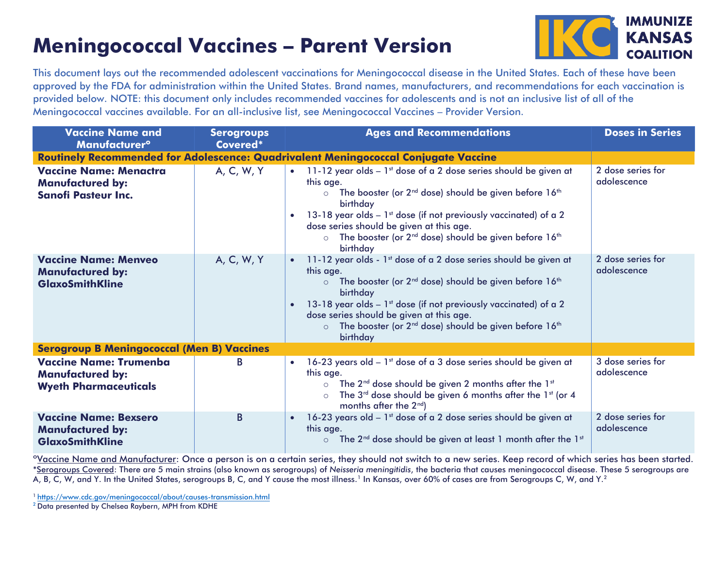## **Meningococcal Vaccines – Parent Version**



This document lays out the recommended adolescent vaccinations for Meningococcal disease in the United States. Each of these have been approved by the FDA for administration within the United States. Brand names, manufacturers, and recommendations for each vaccination is provided below. NOTE: this document only includes recommended vaccines for adolescents and is not an inclusive list of all of the Meningococcal vaccines available. For an all-inclusive list, see Meningococcal Vaccines – Provider Version.

| <b>Vaccine Name and</b><br><b>Manufacturer<sup>o</sup></b>                                 | <b>Serogroups</b><br>Covered* | <b>Ages and Recommendations</b>                                                                                                                                                                                                                                                                                                                                                                                                             | <b>Doses in Series</b>           |
|--------------------------------------------------------------------------------------------|-------------------------------|---------------------------------------------------------------------------------------------------------------------------------------------------------------------------------------------------------------------------------------------------------------------------------------------------------------------------------------------------------------------------------------------------------------------------------------------|----------------------------------|
| <b>Routinely Recommended for Adolescence: Quadrivalent Meningococcal Conjugate Vaccine</b> |                               |                                                                                                                                                                                                                                                                                                                                                                                                                                             |                                  |
| <b>Vaccine Name: Menactra</b><br><b>Manufactured by:</b><br><b>Sanofi Pasteur Inc.</b>     | A, C, W, Y                    | 11-12 year olds - 1 <sup>st</sup> dose of a 2 dose series should be given at<br>$\bullet$<br>this age.<br>o The booster (or 2 <sup>nd</sup> dose) should be given before 16 <sup>th</sup><br>birthday<br>13-18 year olds $-1st$ dose (if not previously vaccinated) of a 2<br>$\bullet$<br>dose series should be given at this age.<br>The booster (or 2 <sup>nd</sup> dose) should be given before 16 <sup>th</sup><br>$\circ$<br>birthday | 2 dose series for<br>adolescence |
| <b>Vaccine Name: Menveo</b><br><b>Manufactured by:</b><br><b>GlaxoSmithKline</b>           | A, C, W, Y                    | 11-12 year olds - 1 <sup>st</sup> dose of a 2 dose series should be given at<br>$\bullet$<br>this age.<br>o The booster (or 2 <sup>nd</sup> dose) should be given before 16 <sup>th</sup><br>birthday<br>13-18 year olds $-1st$ dose (if not previously vaccinated) of a 2<br>$\bullet$<br>dose series should be given at this age.<br>The booster (or 2 <sup>nd</sup> dose) should be given before 16 <sup>th</sup><br>$\circ$<br>birthday | 2 dose series for<br>adolescence |
| <b>Serogroup B Meningococcal (Men B) Vaccines</b>                                          |                               |                                                                                                                                                                                                                                                                                                                                                                                                                                             |                                  |
| <b>Vaccine Name: Trumenba</b><br><b>Manufactured by:</b><br><b>Wyeth Pharmaceuticals</b>   | B                             | 16-23 years old - 1 <sup>st</sup> dose of a 3 dose series should be given at<br>$\bullet$<br>this age.<br>The $2^{nd}$ dose should be given 2 months after the $1^{st}$<br>$\circ$<br>The 3rd dose should be given 6 months after the 1st (or 4<br>$\circ$<br>months after the $2^{nd}$ )                                                                                                                                                   | 3 dose series for<br>adolescence |
| <b>Vaccine Name: Bexsero</b><br><b>Manufactured by:</b><br><b>GlaxoSmithKline</b>          | B                             | 16-23 years old - 1st dose of a 2 dose series should be given at<br>$\bullet$<br>this age.<br>The $2^{nd}$ dose should be given at least 1 month after the $1^{st}$<br>$\circ$                                                                                                                                                                                                                                                              | 2 dose series for<br>adolescence |

ºVaccine Name and Manufacturer: Once a person is on a certain series, they should not switch to a new series. Keep record of which series has been started. \*Serogroups Covered: There are 5 main strains (also known as serogroups) of *Neisseria meningitidis*, the bacteria that causes meningococcal disease. These 5 serogroups are A, B, C, W, and Y. In the United States, serogroups B, C, and Y cause the most illness.' In Kansas, over 60% of cases are from Serogroups C, W, and Y.<sup>2</sup>

<sup>1</sup>[https://www.cdc.gov/meningococcal/about/causes-transmission.html](https://www.cdc.gov/meningococcal/about/causes-transmission.html%202) 

[2](https://www.cdc.gov/meningococcal/about/causes-transmission.html%202) Data presented by Chelsea Raybern, MPH from KDHE